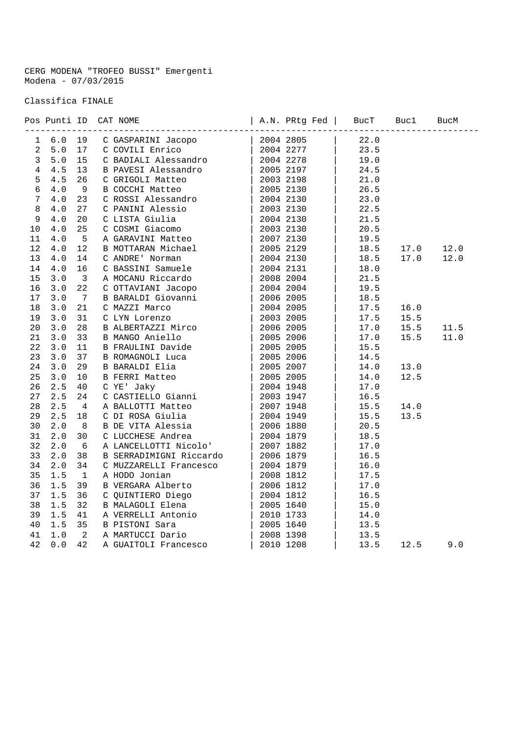CERG MODENA "TROFEO BUSSI" Emergenti Modena - 07/03/2015

Classifica FINALE

|                |       |                         | Pos Punti ID CAT NOME                                                                                                                                                                                                                         |  |      |      |      |
|----------------|-------|-------------------------|-----------------------------------------------------------------------------------------------------------------------------------------------------------------------------------------------------------------------------------------------|--|------|------|------|
| $\mathbf{1}$   | 6.0   | 19                      |                                                                                                                                                                                                                                               |  | 22.0 |      |      |
| $\overline{a}$ | $5.0$ | 17                      |                                                                                                                                                                                                                                               |  | 23.5 |      |      |
| $\mathbf{3}$   | $5.0$ | 15                      |                                                                                                                                                                                                                                               |  | 19.0 |      |      |
| $\overline{4}$ | 4.5   | 13                      |                                                                                                                                                                                                                                               |  | 24.5 |      |      |
| 5              | 4.5   | 26                      |                                                                                                                                                                                                                                               |  | 21.0 |      |      |
| 6              | 4.0   | 9                       |                                                                                                                                                                                                                                               |  | 26.5 |      |      |
| $\overline{7}$ | 4.0   | 23                      |                                                                                                                                                                                                                                               |  | 23.0 |      |      |
| 8              | 4.0   | 27                      |                                                                                                                                                                                                                                               |  | 22.5 |      |      |
| $\mathsf 9$    | 4.0   | 20                      |                                                                                                                                                                                                                                               |  | 21.5 |      |      |
| 10             | $4.0$ | 25                      |                                                                                                                                                                                                                                               |  | 20.5 |      |      |
| 11             | 4.0   | 5                       |                                                                                                                                                                                                                                               |  | 19.5 |      |      |
| 12             | 4.0   | 12                      |                                                                                                                                                                                                                                               |  | 18.5 | 17.0 | 12.0 |
| 13             | 4.0   | 14                      |                                                                                                                                                                                                                                               |  | 18.5 | 17.0 | 12.0 |
| 14             | 4.0   | 16                      |                                                                                                                                                                                                                                               |  | 18.0 |      |      |
| 15             | 3.0   | $\overline{\mathbf{3}}$ |                                                                                                                                                                                                                                               |  | 21.5 |      |      |
| 16             | 3.0   | 22                      |                                                                                                                                                                                                                                               |  | 19.5 |      |      |
| 17             | 3.0   | $\overline{7}$          |                                                                                                                                                                                                                                               |  | 18.5 |      |      |
| 18             | 3.0   | 21                      |                                                                                                                                                                                                                                               |  | 17.5 | 16.0 |      |
| 19             | 3.0   | 31                      |                                                                                                                                                                                                                                               |  | 17.5 | 15.5 |      |
| 20             | 3.0   | 28                      |                                                                                                                                                                                                                                               |  | 17.0 | 15.5 | 11.5 |
| 21             | 3.0   | 33                      | B ALBERTAZZI Mirco   2006 2005<br>B MANGO Aniello   2005 2006<br>B FRAULINI Davide   2005 2005<br>B ROMAGNOLI Luca   2005 2005<br>B BARALDI Elia   2005 2007<br>C YE' Jaky   2005 2005<br>C YE' Jaky   2004 1948<br>C CASTIELLO Gianni   200  |  | 17.0 | 15.5 | 11.0 |
| 22             | 3.0   | 11                      |                                                                                                                                                                                                                                               |  | 15.5 |      |      |
| 23             | 3.0   | 37                      |                                                                                                                                                                                                                                               |  | 14.5 |      |      |
| 24             | 3.0   | 29                      |                                                                                                                                                                                                                                               |  | 14.0 | 13.0 |      |
| 25             | 3.0   | 10                      |                                                                                                                                                                                                                                               |  | 14.0 | 12.5 |      |
| 26             | 2.5   | 40                      |                                                                                                                                                                                                                                               |  | 17.0 |      |      |
| 27             | 2.5   | 24                      |                                                                                                                                                                                                                                               |  | 16.5 |      |      |
| 28             | 2.5   | 4                       |                                                                                                                                                                                                                                               |  | 15.5 | 14.0 |      |
| 29             | 2.5   | 18                      |                                                                                                                                                                                                                                               |  | 15.5 | 13.5 |      |
| 30             | 2.0   | 8                       |                                                                                                                                                                                                                                               |  | 20.5 |      |      |
| 31             | 2.0   | 30                      |                                                                                                                                                                                                                                               |  | 18.5 |      |      |
| 32             | 2.0   | 6                       |                                                                                                                                                                                                                                               |  | 17.0 |      |      |
| 33             | 2.0   | 38                      | B SERRADIMIGNI Riccardo   2006 1879                                                                                                                                                                                                           |  | 16.5 |      |      |
| 34             | 2.0   | 34                      |                                                                                                                                                                                                                                               |  | 16.0 |      |      |
| 35             | 1.5   | $\mathbf{1}$            |                                                                                                                                                                                                                                               |  | 17.5 |      |      |
| 36             | 1.5   | 39                      |                                                                                                                                                                                                                                               |  | 17.0 |      |      |
| 37             | 1.5   | 36                      |                                                                                                                                                                                                                                               |  | 16.5 |      |      |
| 38             | 1.5   | 32                      |                                                                                                                                                                                                                                               |  | 15.0 |      |      |
| 39             | 1.5   | 41                      |                                                                                                                                                                                                                                               |  | 14.0 |      |      |
| 40             | 1.5   | 35                      |                                                                                                                                                                                                                                               |  | 13.5 |      |      |
| 41             | 1.0   | 2                       |                                                                                                                                                                                                                                               |  | 13.5 |      |      |
| 42             | 0.0   | 42                      | C MUZZARELLI Francesco   2006 1679<br>C MUZZARELLI Francesco   2004 1879<br>A HODO Jonian   2008 1812<br>C QUINTIERO Diego   2006 1812<br>C QUINTIERO Diego   2004 1812<br>B MALAGOLI Elena   2005 1640<br>A VERRELLI Antonio   2010 1733<br> |  | 13.5 | 12.5 | 9.0  |